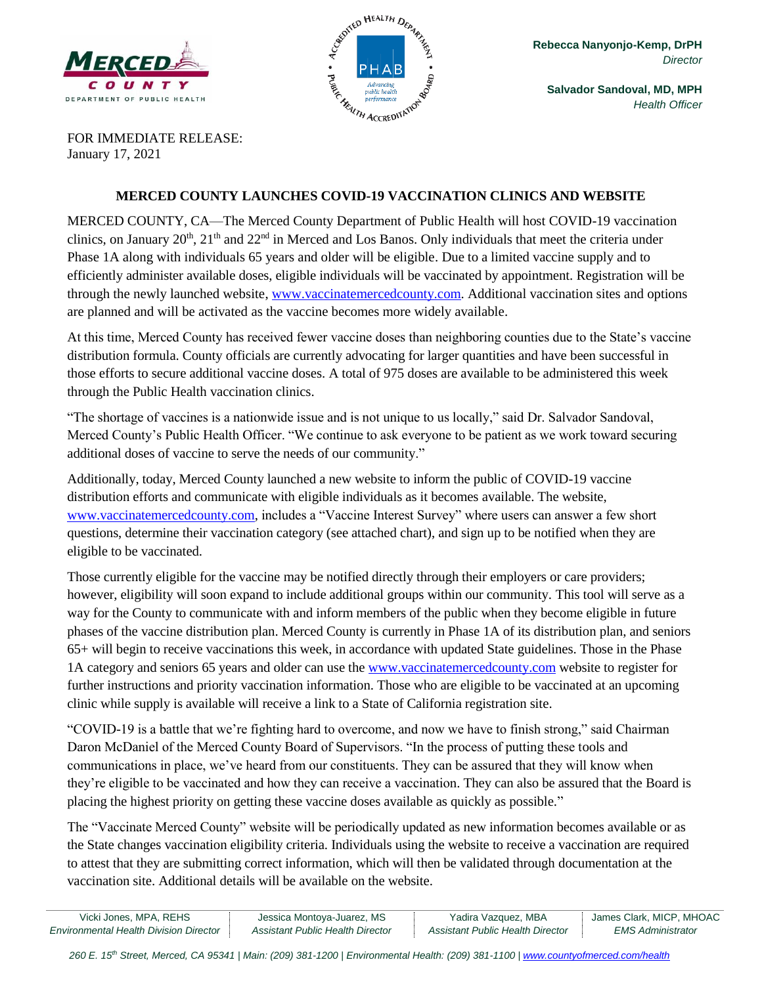



**Salvador Sandoval, MD, MPH** *Health Officer*

FOR IMMEDIATE RELEASE: January 17, 2021

#### **MERCED COUNTY LAUNCHES COVID-19 VACCINATION CLINICS AND WEBSITE**

MERCED COUNTY, CA—The Merced County Department of Public Health will host COVID-19 vaccination clinics, on January  $20<sup>th</sup>$ ,  $21<sup>th</sup>$  and  $22<sup>nd</sup>$  in Merced and Los Banos. Only individuals that meet the criteria under Phase 1A along with individuals 65 years and older will be eligible. Due to a limited vaccine supply and to efficiently administer available doses, eligible individuals will be vaccinated by appointment. Registration will be through the newly launched website, [www.vaccinatemercedcounty.com.](http://www.vaccinatemercedcounty.com/) Additional vaccination sites and options are planned and will be activated as the vaccine becomes more widely available.

At this time, Merced County has received fewer vaccine doses than neighboring counties due to the State's vaccine distribution formula. County officials are currently advocating for larger quantities and have been successful in those efforts to secure additional vaccine doses. A total of 975 doses are available to be administered this week through the Public Health vaccination clinics.

"The shortage of vaccines is a nationwide issue and is not unique to us locally," said Dr. Salvador Sandoval, Merced County's Public Health Officer. "We continue to ask everyone to be patient as we work toward securing additional doses of vaccine to serve the needs of our community."

Additionally, today, Merced County launched a new website to inform the public of COVID-19 vaccine distribution efforts and communicate with eligible individuals as it becomes available. The website, [www.vaccinatemercedcounty.com,](http://www.vaccinatemercedcounty.com/) includes a "Vaccine Interest Survey" where users can answer a few short questions, determine their vaccination category (see attached chart), and sign up to be notified when they are eligible to be vaccinated.

Those currently eligible for the vaccine may be notified directly through their employers or care providers; however, eligibility will soon expand to include additional groups within our community. This tool will serve as a way for the County to communicate with and inform members of the public when they become eligible in future phases of the vaccine distribution plan. Merced County is currently in Phase 1A of its distribution plan, and seniors 65+ will begin to receive vaccinations this week, in accordance with updated State guidelines. Those in the Phase 1A category and seniors 65 years and older can use the [www.vaccinatemercedcounty.com](http://www.vaccinatemercedcounty.com/) website to register for further instructions and priority vaccination information. Those who are eligible to be vaccinated at an upcoming clinic while supply is available will receive a link to a State of California registration site.

"COVID-19 is a battle that we're fighting hard to overcome, and now we have to finish strong," said Chairman Daron McDaniel of the Merced County Board of Supervisors. "In the process of putting these tools and communications in place, we've heard from our constituents. They can be assured that they will know when they're eligible to be vaccinated and how they can receive a vaccination. They can also be assured that the Board is placing the highest priority on getting these vaccine doses available as quickly as possible."

The "Vaccinate Merced County" website will be periodically updated as new information becomes available or as the State changes vaccination eligibility criteria. Individuals using the website to receive a vaccination are required to attest that they are submitting correct information, which will then be validated through documentation at the vaccination site. Additional details will be available on the website.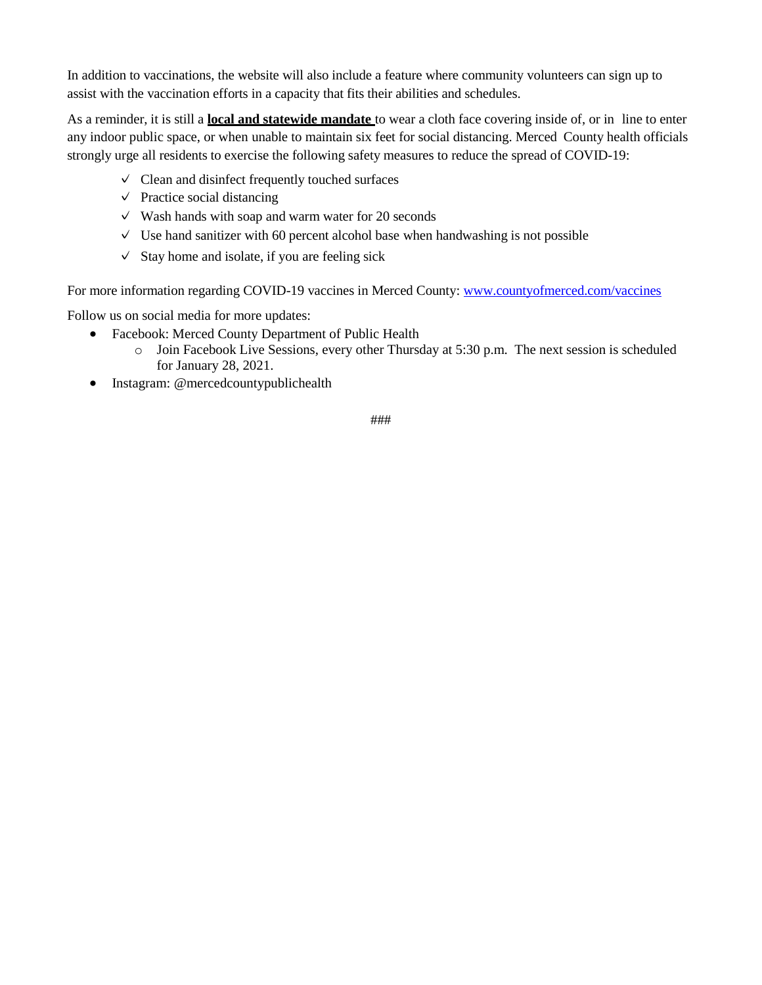In addition to vaccinations, the website will also include a feature where community volunteers can sign up to assist with the vaccination efforts in a capacity that fits their abilities and schedules.

As a reminder, it is still a **local and statewide mandate** to wear a cloth face covering inside of, or in line to enter any indoor public space, or when unable to maintain six feet for social distancing. Merced County health officials strongly urge all residents to exercise the following safety measures to reduce the spread of COVID-19:

- $\vee$  Clean and disinfect frequently touched surfaces
- $\vee$  Practice social distancing
- $\vee$  Wash hands with soap and warm water for 20 seconds
- $\vee$  Use hand sanitizer with 60 percent alcohol base when handwashing is not possible
- $\checkmark$  Stay home and isolate, if you are feeling sick

For more information regarding COVID-19 vaccines in Merced County: [www.countyofmerced.com/vaccines](http://www.countyofmerced.com/vaccines)

Follow us on social media for more updates:

- Facebook: Merced County Department of Public Health
	- $\circ$  Join Facebook Live Sessions, every other Thursday at 5:30 p.m. The next session is scheduled for January 28, 2021.
- Instagram: @mercedcountypublichealth

###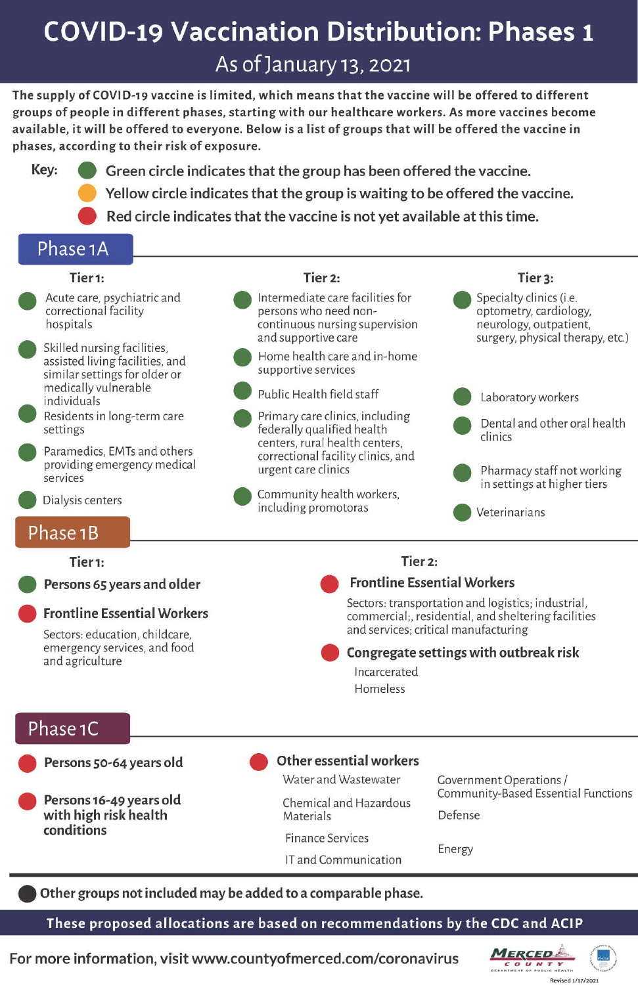# **COVID-19 Vaccination Distribution: Phases 1**

As of January 13, 2021

The supply of COVID-19 vaccine is limited, which means that the vaccine will be offered to different groups of people in different phases, starting with our healthcare workers. As more vaccines become available, it will be offered to everyone. Below is a list of groups that will be offered the vaccine in phases, according to their risk of exposure.

Key: Green circle indicates that the group has been offered the vaccine. Yellow circle indicates that the group is waiting to be offered the vaccine.

Red circle indicates that the vaccine is not yet available at this time.

## Phase 1A

### Tier<sub>1</sub>:

- Acute care, psychiatric and correctional facility hospitals
- Skilled nursing facilities. assisted living facilities, and similar settings for older or medically vulnerable individuals
- Residents in long-term care settings
- Paramedics, EMTs and others providing emergency medical services
- Dialysis centers

## Phase 1B

#### Tier<sub>1</sub>:

Persons 65 years and older

#### **Frontline Essential Workers**

Sectors: education, childcare. emergency services, and food and agriculture

## Tier<sub>2:</sub>



persons who need noncontinuous nursing supervision and supportive care Home health care and in-home supportive services Public Health field staff

- Primary care clinics, including federally qualified health centers, rural health centers, correctional facility clinics, and urgent care clinics
- Community health workers, including promotoras

## Tier 3: Specialty clinics (i.e. optometry, cardiology, neurology, outpatient, surgery, physical therapy, etc.) Laboratory workers Dental and other oral health clinics

Pharmacy staff not working in settings at higher tiers

Veterinarians

#### Tier 2:

#### **Frontline Essential Workers**

Sectors: transportation and logistics; industrial, commercial;, residential, and sheltering facilities and services; critical manufacturing

Congregate settings with outbreak risk

Incarcerated Homeless

## Phase 1C

- Persons 50-64 years old
- Persons 16-49 years old with high risk health conditions
- **Other essential workers**

Water and Wastewater

Chemical and Hazardous Materials

**Finance Services** 

IT and Communication

**Government Operations /** Community-Based Essential Functions Defense

Energy

Other groups not included may be added to a comparable phase.

These proposed allocations are based on recommendations by the CDC and ACIP

For more information, visit www.countyofmerced.com/coronavirus